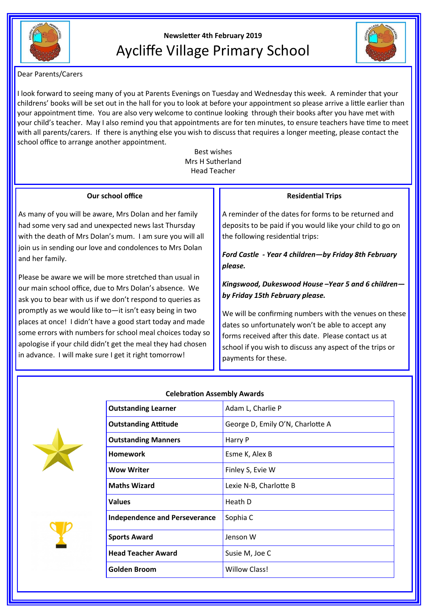

## **Newsletter 4th February 2019** Aycliffe Village Primary School



Dear Parents/Carers

I look forward to seeing many of you at Parents Evenings on Tuesday and Wednesday this week. A reminder that your childrens' books will be set out in the hall for you to look at before your appointment so please arrive a little earlier than your appointment time. You are also very welcome to continue looking through their books after you have met with your child's teacher. May I also remind you that appointments are for ten minutes, to ensure teachers have time to meet with all parents/carers. If there is anything else you wish to discuss that requires a longer meeting, please contact the school office to arrange another appointment.

> Best wishes Mrs H Sutherland Head Teacher

| Our school office<br><b>Residential Trips</b><br>As many of you will be aware, Mrs Dolan and her family<br>A reminder of the dates for forms to be returned and                                                                                                                                                                                                                                                                                                                                                                                                                                                                                                                                                                                                                                                                                 |  |
|-------------------------------------------------------------------------------------------------------------------------------------------------------------------------------------------------------------------------------------------------------------------------------------------------------------------------------------------------------------------------------------------------------------------------------------------------------------------------------------------------------------------------------------------------------------------------------------------------------------------------------------------------------------------------------------------------------------------------------------------------------------------------------------------------------------------------------------------------|--|
|                                                                                                                                                                                                                                                                                                                                                                                                                                                                                                                                                                                                                                                                                                                                                                                                                                                 |  |
| had some very sad and unexpected news last Thursday<br>deposits to be paid if you would like your child to go on<br>the following residential trips:<br>with the death of Mrs Dolan's mum. I am sure you will all<br>join us in sending our love and condolences to Mrs Dolan<br>Ford Castle - Year 4 children-by Friday 8th February<br>and her family.<br>please.                                                                                                                                                                                                                                                                                                                                                                                                                                                                             |  |
| Please be aware we will be more stretched than usual in<br>Kingswood, Dukeswood House -Year 5 and 6 children-<br>our main school office, due to Mrs Dolan's absence. We<br>by Friday 15th February please.<br>ask you to bear with us if we don't respond to queries as<br>promptly as we would like to—it isn't easy being in two<br>We will be confirming numbers with the venues on these<br>places at once! I didn't have a good start today and made<br>dates so unfortunately won't be able to accept any<br>some errors with numbers for school meal choices today so<br>forms received after this date. Please contact us at<br>apologise if your child didn't get the meal they had chosen<br>school if you wish to discuss any aspect of the trips or<br>in advance. I will make sure I get it right tomorrow!<br>payments for these. |  |



**Celebration Assembly Awards**

**Outstanding Learner** Adam L, Charlie P

| <b>Outstanding Attitude</b>          | George D, Emily O'N, Charlotte A |
|--------------------------------------|----------------------------------|
| <b>Outstanding Manners</b>           | Harry P                          |
| <b>Homework</b>                      | Esme K, Alex B                   |
| <b>Wow Writer</b>                    | Finley S, Evie W                 |
| <b>Maths Wizard</b>                  | Lexie N-B, Charlotte B           |
| <b>Values</b>                        | Heath D                          |
| <b>Independence and Perseverance</b> | Sophia C                         |
| <b>Sports Award</b>                  | Jenson W                         |
| <b>Head Teacher Award</b>            | Susie M, Joe C                   |
| <b>Golden Broom</b>                  | <b>Willow Class!</b>             |